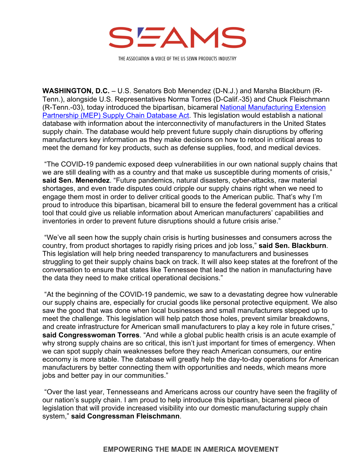

THE ASSOCIATION & VOICE OF THE US SEWN PRODUCTS INDUSTRY

**WASHINGTON, D.C.** – U.S. Senators Bob Menendez (D-N.J.) and Marsha Blackburn (R-Tenn.), alongside U.S. Representatives Norma Torres (D-Calif.-35) and Chuck Fleischmann (R-Tenn.-03), today introduced the bipartisan, bicameral [National Manufacturing Extension](https://tracking.cirrusinsight.com/c15a13d7-a8e6-4b5e-8a39-dd0d12569f31/menendez-senate-gov-imo-media-doc-national-mep-supply-chain-database-bill-pdf)  [Partnership \(MEP\) Supply Chain Database Act.](https://tracking.cirrusinsight.com/c15a13d7-a8e6-4b5e-8a39-dd0d12569f31/menendez-senate-gov-imo-media-doc-national-mep-supply-chain-database-bill-pdf) This legislation would establish a national database with information about the interconnectivity of manufacturers in the United States supply chain. The database would help prevent future supply chain disruptions by offering manufacturers key information as they make decisions on how to retool in critical areas to meet the demand for key products, such as defense supplies, food, and medical devices.

 "The COVID-19 pandemic exposed deep vulnerabilities in our own national supply chains that we are still dealing with as a country and that make us susceptible during moments of crisis," **said Sen. Menendez**. "Future pandemics, natural disasters, cyber-attacks, raw material shortages, and even trade disputes could cripple our supply chains right when we need to engage them most in order to deliver critical goods to the American public. That's why I'm proud to introduce this bipartisan, bicameral bill to ensure the federal government has a critical tool that could give us reliable information about American manufacturers' capabilities and inventories in order to prevent future disruptions should a future crisis arise."

 "We've all seen how the supply chain crisis is hurting businesses and consumers across the country, from product shortages to rapidly rising prices and job loss," **said Sen. Blackburn**. This legislation will help bring needed transparency to manufacturers and businesses struggling to get their supply chains back on track. It will also keep states at the forefront of the conversation to ensure that states like Tennessee that lead the nation in manufacturing have the data they need to make critical operational decisions."

"At the beginning of the COVID-19 pandemic, we saw to a devastating degree how vulnerable our supply chains are, especially for crucial goods like personal protective equipment. We also saw the good that was done when local businesses and small manufacturers stepped up to meet the challenge. This legislation will help patch those holes, prevent similar breakdowns, and create infrastructure for American small manufacturers to play a key role in future crises," **said Congresswoman Torres**. "And while a global public health crisis is an acute example of why strong supply chains are so critical, this isn't just important for times of emergency. When we can spot supply chain weaknesses before they reach American consumers, our entire economy is more stable. The database will greatly help the day-to-day operations for American manufacturers by better connecting them with opportunities and needs, which means more jobs and better pay in our communities."

 "Over the last year, Tennesseans and Americans across our country have seen the fragility of our nation's supply chain. I am proud to help introduce this bipartisan, bicameral piece of legislation that will provide increased visibility into our domestic manufacturing supply chain system," **said Congressman Fleischmann**.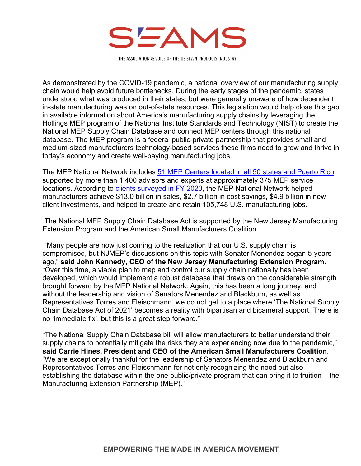

THE ASSOCIATION & VOICE OF THE US SEWN PRODUCTS INDUSTRY

As demonstrated by the COVID-19 pandemic, a national overview of our manufacturing supply chain would help avoid future bottlenecks. During the early stages of the pandemic, states understood what was produced in their states, but were generally unaware of how dependent in-state manufacturing was on out-of-state resources. This legislation would help close this gap in available information about America's manufacturing supply chains by leveraging the Hollings MEP program of the National Institute Standards and Technology (NIST) to create the National MEP Supply Chain Database and connect MEP centers through this national database. The MEP program is a federal public-private partnership that provides small and medium-sized manufacturers technology-based services these firms need to grow and thrive in today's economy and create well-paying manufacturing jobs.

The MEP National Network includes [51 MEP Centers located in all 50 states and Puerto Rico](https://tracking.cirrusinsight.com/c15a13d7-a8e6-4b5e-8a39-dd0d12569f31/nist-gov-mep-mep-national-network) supported by more than 1,400 advisors and experts at approximately 375 MEP service locations. According to [clients surveyed in FY 2020,](https://tracking.cirrusinsight.com/c15a13d7-a8e6-4b5e-8a39-dd0d12569f31/nist-gov-mep-mep-national-network1) the MEP National Network helped manufacturers achieve \$13.0 billion in sales, \$2.7 billion in cost savings, \$4.9 billion in new client investments, and helped to create and retain 105,748 U.S. manufacturing jobs.

 The National MEP Supply Chain Database Act is supported by the New Jersey Manufacturing Extension Program and the American Small Manufacturers Coalition.

 "Many people are now just coming to the realization that our U.S. supply chain is compromised, but NJMEP's discussions on this topic with Senator Menendez began 5-years ago," **said John Kennedy, CEO of the New Jersey Manufacturing Extension Program**. "Over this time, a viable plan to map and control our supply chain nationally has been developed, which would implement a robust database that draws on the considerable strength brought forward by the MEP National Network. Again, this has been a long journey, and without the leadership and vision of Senators Menendez and Blackburn, as well as Representatives Torres and Fleischmann, we do not get to a place where 'The National Supply Chain Database Act of 2021' becomes a reality with bipartisan and bicameral support. There is no 'immediate fix', but this is a great step forward."

"The National Supply Chain Database bill will allow manufacturers to better understand their supply chains to potentially mitigate the risks they are experiencing now due to the pandemic," **said Carrie Hines, President and CEO of the American Small Manufacturers Coalition**. "We are exceptionally thankful for the leadership of Senators Menendez and Blackburn and Representatives Torres and Fleischmann for not only recognizing the need but also establishing the database within the one public/private program that can bring it to fruition – the Manufacturing Extension Partnership (MEP)."